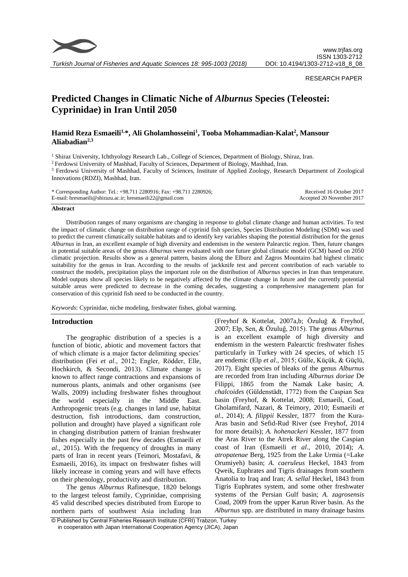

*Turkish Journal of Fisheries and Aquatic Sciences 18: 995-1003 (2018)*

#### RESEARCH PAPER

# **Predicted Changes in Climatic Niche of** *Alburnus* **Species (Teleostei: Cyprinidae) in Iran Until 2050**

## **Hamid Reza Esmaeili1,\*, Ali Gholamhosseini<sup>1</sup> , Tooba Mohammadian-Kalat<sup>2</sup> , Mansour Aliabadian2,3**

<sup>1</sup> Shiraz University, Ichthyology Research Lab., College of Sciences, Department of Biology, Shiraz, Iran.

<sup>2</sup> Ferdowsi University of Mashhad, Faculty of Sciences, Department of Biology, Mashhad, Iran.

<sup>3</sup> Ferdowsi University of Mashhad, Faculty of Sciences, Institute of Applied Zoology, Research Department of Zoological Innovations (RDZI), Mashhad, Iran.

| * Corresponding Author: Tel.: $+98.711$ 2280916; Fax: $+98.711$ 2280926; | Received 16 October 2017  |
|--------------------------------------------------------------------------|---------------------------|
| E-mail: hresmaeili@shirazu.ac.ir; hresmaeili22@gmail.com                 | Accepted 20 November 2017 |

#### **Abstract**

Distribution ranges of many organisms are changing in response to global climate change and human activities. To test the impact of climatic change on distribution range of cyprinid fish species, Species Distribution Modeling (SDM) was used to predict the current climatically suitable habitats and to identify key variables shaping the potential distribution for the genus *Alburnus* in Iran, an excellent example of high diversity and endemism in the western Palearctic region. Then, future changes in potential suitable areas of the genus *Alburnus* were evaluated with one future global climatic model (GCM) based on 2050 climatic projection. Results show as a general pattern, basins along the Elburz and Zagros Mountains had highest climatic suitability for the genus in Iran. According to the results of jackknife test and percent contribution of each variable to construct the models, precipitation plays the important role on the distribution of *Alburnus* species in Iran than temperature. Model outputs show all species likely to be negatively affected by the climate change in future and the currently potential suitable areas were predicted to decrease in the coming decades, suggesting a comprehensive management plan for conservation of this cyprinid fish need to be conducted in the country.

*Keywords*: Cyprinidae, niche modeling, freshwater fishes, global warming.

## **Introduction**

The geographic distribution of a species is a function of biotic, abiotic and movement factors that of which climate is a major factor delimiting species' distribution (Fei *et al*., 2012; Engler, Rödder, Elle, Hochkirch, & Secondi, 2013). Climate change is known to affect range contractions and expansions of numerous plants, animals and other organisms (see Walls, 2009) including freshwater fishes throughout the world especially in the Middle East. Anthropogenic treats (e.g. changes in land use, habitat destruction, fish introductions, dam construction, pollution and drought) have played a significant role in changing distribution pattern of Iranian freshwater fishes especially in the past few decades (Esmaeili *et al*., 2015). With the frequency of droughts in many parts of Iran in recent years (Teimori, Mostafavi, & Esmaeili, 2016), its impact on freshwater fishes will likely increase in coming years and will have effects on their phenology, productivity and distribution.

The genus *Alburnus* Rafinesque, 1820 belongs to the largest teleost family, Cyprinidae, comprising 45 valid described species distributed from Europe to northern parts of southwest Asia including Iran

(Freyhof & Kottelat, 2007a,b; Özuluğ & Freyhof, 2007; Elp, Sen, & Özuluğ, 2015). The genus *Alburnus* is an excellent example of high diversity and endemism in the western Palearctic freshwater fishes particularly in Turkey with 24 species, of which 15 are endemic (Elp *et al*., 2015; Gülle, Küçük, & Güçlü, 2017). Eight species of bleaks of the genus *Alburnus*  are recorded from Iran including *Alburnus doriae* De Filippi, 1865 from the Namak Lake basin; *A. chalcoides* (Güldenstädt, 1772) from the Caspian Sea basin (Freyhof, & Kottelat, 2008; Esmaeili, Coad, Gholamifard, Nazari, & Teimory*,* 2010; Esmaeili *et al*., 2014); *A. filippii* Kessler, 1877 from the Kura-Aras basin and Sefid-Rud River (see Freyhof, 2014 for more details); *A. hohenackeri* Kessler, 1877 from the Aras River to the Atrek River along the Caspian coast of Iran (Esmaeili *et al*., 2010, 2014); *A. atropatenae* Berg, 1925 from the Lake Urmia (=Lake Orumiyeh) basin; *A. caeruleus* Heckel, 1843 from Qweik, Euphrates and Tigris drainages from southern Anatolia to Iraq and Iran; *A. sellal* Heckel, 1843 from Tigris Euphrates system, and some other freshwater systems of the Persian Gulf basin; *A. zagrosensis*  Coad, 2009 from the upper Karun River basin. As the *Alburnus* spp. are distributed in many drainage basins

<sup>©</sup> Published by Central Fisheries Research Institute (CFRI) Trabzon, Turkey in cooperation with Japan International Cooperation Agency (JICA), Japan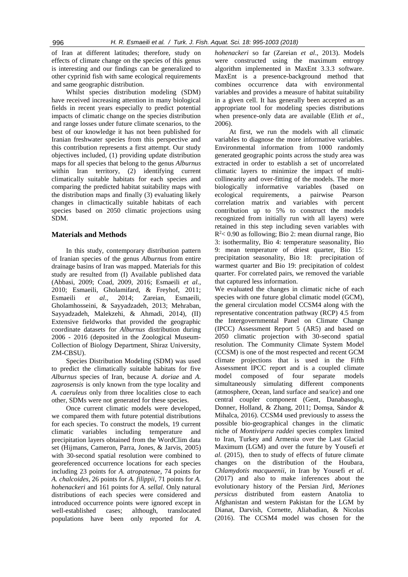of Iran at different latitudes; therefore, study on effects of climate change on the species of this genus is interesting and our findings can be generalized to other cyprinid fish with same ecological requirements and same geographic distribution.

Whilst species distribution modeling (SDM) have received increasing attention in many biological fields in recent years especially to predict potential impacts of climatic change on the species distribution and range losses under future climate scenarios, to the best of our knowledge it has not been published for Iranian freshwater species from this perspective and this contribution represents a first attempt. Our study objectives included, (1) providing update distribution maps for all species that belong to the genus *Alburnus*  within Iran territory, (2) identifying current climatically suitable habitats for each species and comparing the predicted habitat suitability maps with the distribution maps and finally (3) evaluating likely changes in climactically suitable habitats of each species based on 2050 climatic projections using SDM.

## **Materials and Methods**

In this study, contemporary distribution pattern of Iranian species of the genus *Alburnus* from entire drainage basins of Iran was mapped. Materials for this study are resulted from (I) Available published data (Abbasi, 2009; Coad, 2009, 2016; Esmaeili *et al.*, 2010; Esmaeili, Gholamifard, & Freyhof, 2011; Esmaeili *et al*., 2014; Zareian, Esmaeili, Gholamhosseini, & Sayyadzadeh, 2013; Mehraban, Sayyadzadeh, Malekzehi, & Ahmadi, 2014), (II) Extensive fieldworks that provided the geographic coordinate datasets for *Alburnus* distribution during 2006 - 2016 (deposited in the Zoological Museum-Collection of Biology Department, Shiraz University, ZM-CBSU).

Species Distribution Modeling (SDM) was used to predict the climatically suitable habitats for five *Alburnus* species of Iran, because *A. doriae* and *A. zagrosensis* is only known from the type locality and *A. caeruleus* only from three localities close to each other, SDMs were not generated for these species.

Once current climatic models were developed, we compared them with future potential distributions for each species. To construct the models, 19 current climatic variables including temperature and precipitation layers obtained from the WordClim data set (Hijmans, Cameron, Parra, Jones, & Jarvis, 2005) with 30-second spatial resolution were combined to georeferenced occurrence locations for each species including 23 points for *A. atropatenae*, 74 points for *A. chalcoides*, 26 points for *A. filippii,* 71 points for *A. hohenackeri* and 161 points for *A. sellal*. Only natural distributions of each species were considered and introduced occurrence points were ignored except in well-established cases; although, translocated populations have been only reported for *A.*  *hohenackeri* so far (Zareian *et al*., 2013). Models were constructed using the maximum entropy algorithm implemented in MaxEnt 3.3.3 software. MaxEnt is a presence-background method that combines occurrence data with environmental variables and provides a measure of habitat suitability in a given cell. It has generally been accepted as an appropriate tool for modeling species distributions when presence-only data are available (Elith *et al*., 2006).

At first, we run the models with all climatic variables to diagnose the more informative variables. Environmental information from 1000 randomly generated geographic points across the study area was extracted in order to establish a set of uncorrelated climatic layers to minimize the impact of multicollinearity and over-fitting of the models. The more biologically informative variables (based on ecological requirements, a pairwise Pearson correlation matrix and variables with percent contribution up to 5% to construct the models recognized from initially run with all layers) were retained in this step including seven variables with R <sup>2</sup>< 0.90 as following; Bio 2: mean diurnal range, Bio 3: isothermality, Bio 4: temperature seasonality, Bio 9: mean temperature of driest quarter, Bio 15: precipitation seasonality, Bio 18: precipitation of warmest quarter and Bio 19: precipitation of coldest quarter. For correlated pairs, we removed the variable that captured less information.

We evaluated the changes in climatic niche of each species with one future global climatic model (GCM), the general circulation model CCSM4 along with the representative concentration pathway (RCP) 4.5 from the Intergovernmental Panel on Climate Change (IPCC) Assessment Report 5 (AR5) and based on 2050 climatic projection with 30-second spatial resolution. The Community Climate System Model (CCSM) is one of the most respected and recent GCM climate projections that is used in the Fifth Assessment IPCC report and is a coupled climate model composed of four separate models simultaneously simulating different components (atmosphere, Ocean, land surface and sea/ice) and one central coupler component (Gent, Danabasoglu, Donner, Holland, & Zhang, 2011; Domșa, Sándor & Mihalca, 2016). CCSM4 used previously to assess the possible bio-geographical changes in the climatic niche of *Montivipera raddei* species complex limited to Iran, Turkey and Armenia over the Last Glacial Maximum (LGM) and over the future by Yousefi *et al*. (2015), then to study of effects of future climate changes on the distribution of the Houbara, *Chlamydotis macqueenii*, in Iran by Yousefi *et al*. (2017) and also to make inferences about the evolutionary history of the Persian Jird, *Meriones persicus* distributed from eastern Anatolia to Afghanistan and western Pakistan for the LGM by Dianat, Darvish, Cornette, Aliabadian, & Nicolas (2016). The CCSM4 model was chosen for the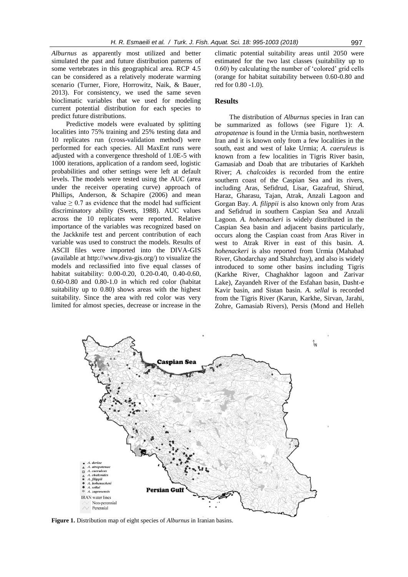*Alburnus* as apparently most utilized and better simulated the past and future distribution patterns of some vertebrates in this geographical area. RCP 4.5 can be considered as a relatively moderate warming scenario (Turner, Fiore, Horrowitz, Naik, & Bauer*,*  2013). For consistency, we used the same seven bioclimatic variables that we used for modeling current potential distribution for each species to predict future distributions.

Predictive models were evaluated by splitting localities into 75% training and 25% testing data and 10 replicates run (cross-validation method) were performed for each species. All MaxEnt runs were adjusted with a convergence threshold of 1.0E-5 with 1000 iterations, application of a random seed, logistic probabilities and other settings were left at default levels. The models were tested using the AUC (area under the receiver operating curve) approach of Phillips, Anderson, & Schapire (2006) and mean value  $\geq 0.7$  as evidence that the model had sufficient discriminatory ability (Swets, 1988). AUC values across the 10 replicates were reported. Relative importance of the variables was recognized based on the Jackknife test and percent contribution of each variable was used to construct the models. Results of ASCII files were imported into the DIVA-GIS (available at http://www.diva-gis.org/) to visualize the models and reclassified into five equal classes of habitat suitability: 0.00-0.20, 0.20-0.40, 0.40-0.60, 0.60-0.80 and 0.80-1.0 in which red color (habitat suitability up to 0.80) shows areas with the highest suitability. Since the area with red color was very limited for almost species, decrease or increase in the

climatic potential suitability areas until 2050 were estimated for the two last classes (suitability up to 0.60) by calculating the number of 'colored' grid cells (orange for habitat suitability between 0.60-0.80 and red for 0.80 -1.0).

#### **Results**

The distribution of *Alburnus* species in Iran can be summarized as follows (see Figure 1): *A. atropatenae* is found in the Urmia basin, northwestern Iran and it is known only from a few localities in the south, east and west of lake Urmia; *A. caeruleus* is known from a few localities in Tigris River basin, Gamasiab and Doab that are tributaries of Karkheh River; *A. chalcoides* is recorded from the entire southern coast of the Caspian Sea and its rivers, including Aras, Sefidrud, Lisar, Gazafrud, Shirud, Haraz, Gharasu, Tajan, Atrak, Anzali Lagoon and Gorgan Bay. *A. filippii* is also known only from Aras and Sefidrud in southern Caspian Sea and Anzali Lagoon. *A. hohenackeri* is widely distributed in the Caspian Sea basin and adjacent basins particularly, occurs along the Caspian coast from Aras River in west to Atrak River in east of this basin. *A. hohenackeri* is also reported from Urmia (Mahabad River, Ghodarchay and Shahrchay), and also is widely introduced to some other basins including Tigris (Karkhe River, Chaghakhor lagoon and Zarivar Lake), Zayandeh River of the Esfahan basin, Dasht-e Kavir basin, and Sistan basin. *A. sellal* is recorded from the Tigris River (Karun, Karkhe, Sirvan, Jarahi, Zohre, Gamasiab Rivers), Persis (Mond and Helleh



**Figure 1.** Distribution map of eight species of *Alburnus* in Iranian basins.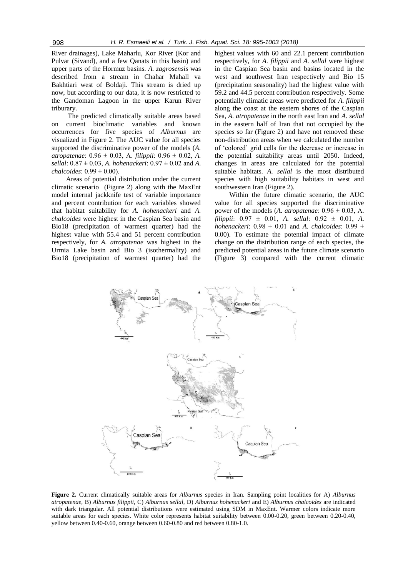River drainages), Lake Maharlu, Kor River (Kor and Pulvar (Sivand), and a few Qanats in this basin) and upper parts of the Hormuz basins. *A. zagrosensis* was described from a stream in Chahar Mahall va Bakhtiari west of Boldaji. This stream is dried up now, but according to our data, it is now restricted to the Gandoman Lagoon in the upper Karun River triburary.

The predicted climatically suitable areas based on current bioclimatic variables and known occurrences for five species of *Alburnus* are visualized in Figure 2. The AUC value for all species supported the discriminative power of the models (*A. atropatenae*: 0.96 ± 0.03, A. *filippii*: 0.96 ± 0.02, *A. sellal*: 0.87 ± 0.03, *A. hohenackeri*: 0.97 ± 0.02 and *A. chalcoides*: 0.99 ± 0.00).

Areas of potential distribution under the current climatic scenario (Figure 2) along with the MaxEnt model internal jackknife test of variable importance and percent contribution for each variables showed that habitat suitability for *A. hohenackeri* and *A. chalcoides* were highest in the Caspian Sea basin and Bio18 (precipitation of warmest quarter) had the highest value with 55.4 and 51 percent contribution respectively, for *A. atropatenae* was highest in the Urmia Lake basin and Bio 3 (isothermality) and Bio18 (precipitation of warmest quarter) had the highest values with 60 and 22.1 percent contribution respectively, for *A. filippii* and *A. sellal* were highest in the Caspian Sea basin and basins located in the west and southwest Iran respectively and Bio 15 (precipitation seasonality) had the highest value with 59.2 and 44.5 percent contribution respectively. Some potentially climatic areas were predicted for *A. filippii*  along the coast at the eastern shores of the Caspian Sea*, A. atropatenae* in the north east Iran and *A. sellal*  in the eastern half of Iran that not occupied by the species so far (Figure 2) and have not removed these non-distribution areas when we calculated the number of 'colored' grid cells for the decrease or increase in the potential suitability areas until 2050. Indeed, changes in areas are calculated for the potential suitable habitats. *A. sellal* is the most distributed species with high suitability habitats in west and southwestern Iran (Figure 2).

Within the future climatic scenario, the AUC value for all species supported the discriminative power of the models (*A. atropatenae*:  $0.96 \pm 0.03$ , *A. filippii*: 0.97 ± 0.01, *A. sellal*: 0.92 ± 0.01, *A. hohenackeri*:  $0.98 \pm 0.01$  and *A. chalcoides*:  $0.99 \pm 0.01$ 0.00). To estimate the potential impact of climate change on the distribution range of each species, the predicted potential areas in the future climate scenario (Figure 3) compared with the current climatic



**Figure 2.** Current climatically suitable areas for *Alburnus* species in Iran. Sampling point localities for A) *Alburnus atropatenae*, B) *Alburnus filippii*, C) *Alburnus sellal*, D) *Alburnus hohenackeri* and E) *Alburnus chalcoides* are indicated with dark triangular. All potential distributions were estimated using SDM in MaxEnt. Warmer colors indicate more suitable areas for each species. White color represents habitat suitability between 0.00-0.20, green between 0.20-0.40, yellow between 0.40-0.60, orange between 0.60-0.80 and red between 0.80-1.0.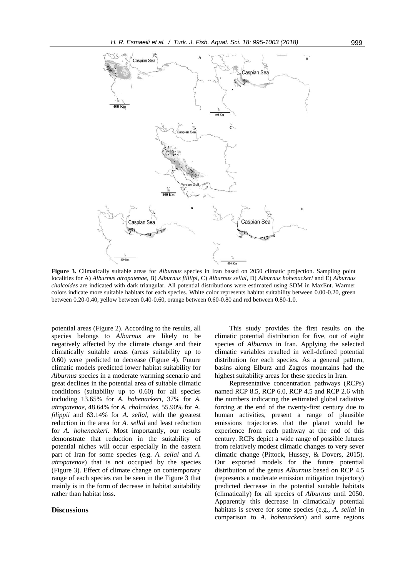

**Figure 3.** Climatically suitable areas for *Alburnus* species in Iran based on 2050 climatic projection. Sampling point localities for A) *Alburnus atropatenae*, B) *Alburnus filliipi*, C) *Alburnus sellal*, D) *Alburnus hohenackeri* and E) *Alburnus chalcoides* are indicated with dark triangular. All potential distributions were estimated using SDM in MaxEnt. Warmer colors indicate more suitable habitats for each species. White color represents habitat suitability between 0.00-0.20, green between 0.20-0.40, yellow between 0.40-0.60, orange between 0.60-0.80 and red between 0.80-1.0.

potential areas (Figure 2). According to the results, all species belongs to *Alburnus* are likely to be negatively affected by the climate change and their climatically suitable areas (areas suitability up to 0.60) were predicted to decrease (Figure 4). Future climatic models predicted lower habitat suitability for *Alburnus* species in a moderate warming scenario and great declines in the potential area of suitable climatic conditions (suitability up to 0.60) for all species including 13.65% for *A. hohenackeri*, 37% for *A. atropatenae*, 48.64% for *A. chalcoides*, 55.90% for A. *filippii* and 63.14% for *A. sellal*, with the greatest reduction in the area for *A. sellal* and least reduction for *A. hohenackeri*. Most importantly, our results demonstrate that reduction in the suitability of potential niches will occur especially in the eastern part of Iran for some species (e.g. *A. sellal* and *A. atropatenae*) that is not occupied by the species (Figure 3). Effect of climate change on contemporary range of each species can be seen in the Figure 3 that mainly is in the form of decrease in habitat suitability rather than habitat loss.

## **Discussions**

This study provides the first results on the climatic potential distribution for five, out of eight species of *Alburnus* in Iran. Applying the selected climatic variables resulted in well-defined potential distribution for each species. As a general pattern, basins along Elburz and Zagros mountains had the highest suitability areas for these species in Iran.

Representative concentration pathways (RCPs) named RCP 8.5, RCP 6.0, RCP 4.5 and RCP 2.6 with the numbers indicating the estimated global radiative forcing at the end of the twenty-first century due to human activities, present a range of plausible emissions trajectories that the planet would be experience from each pathway at the end of this century. RCPs depict a wide range of possible futures from relatively modest climatic changes to very sever climatic change (Pittock, Hussey, & Dovers, 2015). Our exported models for the future potential distribution of the genus *Alburnus* based on RCP 4.5 (represents a moderate emission mitigation trajectory) predicted decrease in the potential suitable habitats (climatically) for all species of *Alburnus* until 2050. Apparently this decrease in climatically potential habitats is severe for some species (e.g., *A. sellal* in comparison to *A. hohenackeri*) and some regions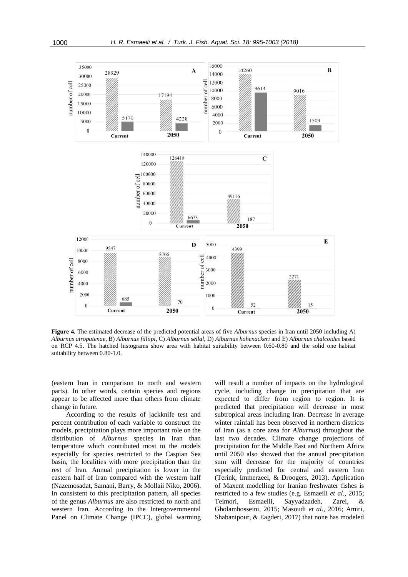

**Figure 4.** The estimated decrease of the predicted potential areas of five *Alburnus* species in Iran until 2050 including A) *Alburnus atropatenae*, B) *Alburnus filliipi*, C) *Alburnus sellal*, D) *Alburnus hohenackeri* and E) *Alburnus chalcoides* based on RCP 4.5. The hatched histograms show area with habitat suitability between 0.60-0.80 and the solid one habitat suitability between 0.80-1.0.

(eastern Iran in comparison to north and western parts). In other words, certain species and regions appear to be affected more than others from climate change in future.

According to the results of jackknife test and percent contribution of each variable to construct the models, precipitation plays more important role on the distribution of *Alburnus* species in Iran than temperature which contributed most to the models especially for species restricted to the Caspian Sea basin, the localities with more precipitation than the rest of Iran. Annual precipitation is lower in the eastern half of Iran compared with the western half (Nazemosadat, Samani, Barry, & Mollaii Niko, 2006). In consistent to this precipitation pattern, all species of the genus *Alburnus* are also restricted to north and western Iran. According to the Intergovernmental Panel on Climate Change (IPCC), global warming

will result a number of impacts on the hydrological cycle, including change in precipitation that are expected to differ from region to region. It is predicted that precipitation will decrease in most subtropical areas including Iran. Decrease in average winter rainfall has been observed in northern districts of Iran (as a core area for *Alburnus*) throughout the last two decades. Climate change projections of precipitation for the Middle East and Northern Africa until 2050 also showed that the annual precipitation sum will decrease for the majority of countries especially predicted for central and eastern Iran (Terink, Immerzeel, & Droogers, 2013). Application of Maxent modelling for Iranian freshwater fishes is restricted to a few studies (e.g. Esmaeili *et al*., 2015; Teimori, Esmaeili, Sayyadzadeh, Zarei, & Gholamhosseini, 2015; Masoudi *et al*., 2016; Amiri, Shabanipour, & Eagderi, 2017) that none has modeled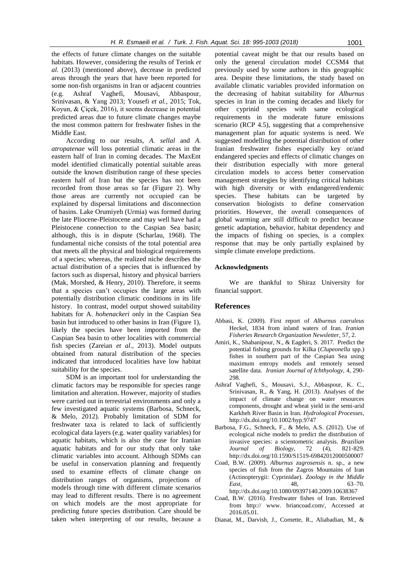the effects of future climate changes on the suitable habitats. However, considering the results of Terink *et al*. (2013) (mentioned above), decrease in predicted areas through the years that have been reported for some non-fish organisms in Iran or adjacent countries (e.g. Ashraf Vaghefi, Mousavi, Abbaspour, Srinivasan, & Yang 2013; Yousefi *et al.*, 2015; Tok, Koyun, & Çiçek, 2016), it seems decrease in potential predicted areas due to future climate changes maybe the most common pattern for freshwater fishes in the Middle East.

According to our results, *A. sellal* and *A. atropatenae* will loss potential climatic areas in the eastern half of Iran in coming decades. The MaxEnt model identified climatically potential suitable areas outside the known distribution range of these species eastern half of Iran but the species has not been recorded from those areas so far (Figure 2). Why those areas are currently not occupied can be explained by dispersal limitations and disconnection of basins. Lake Orumiyeh (Urmia) was formed during the late Pliocene-Pleistocene and may well have had a Pleistocene connection to the Caspian Sea basin; although, this is in dispute (Scharlau, 1968). The fundamental niche consists of the total potential area that meets all the physical and biological requirements of a species; whereas, the realized niche describes the actual distribution of a species that is influenced by factors such as dispersal, history and physical barriers (Mak, Morshed, & Henry, 2010). Therefore, it seems that a species can't occupies the large areas with potentially distribution climatic conditions in its life history. In contrast, model output showed suitability habitats for A. *hohenackeri* only in the Caspian Sea basin but introduced to other basins in Iran (Figure 1), likely the species have been imported from the Caspian Sea basin to other localities with commercial fish species (Zareian *et al*., 2013). Model outputs obtained from natural distribution of the species indicated that introduced localities have low habitat suitability for the species.

SDM is an important tool for understanding the climatic factors may be responsible for species range limitation and alteration. However, majority of studies were carried out in terrestrial environments and only a few investigated aquatic systems (Barbosa*,* Schneck, & Melo, 2012). Probably limitation of SDM for freshwater taxa is related to lack of sufficiently ecological data layers (e.g. water quality variables) for aquatic habitats, which is also the case for Iranian aquatic habitats and for our study that only take climatic variables into account. Although SDMs can be useful in conservation planning and frequently used to examine effects of climate change on distribution ranges of organisms, projections of models through time with different climate scenarios may lead to different results. There is no agreement on which models are the most appropriate for predicting future species distribution. Care should be taken when interpreting of our results, because a

potential caveat might be that our results based on only the general circulation model CCSM4 that previously used by some authors in this geographic area. Despite these limitations, the study based on available climatic variables provided information on the decreasing of habitat suitability for *Alburnus* species in Iran in the coming decades and likely for other cyprinid species with same ecological requirements in the moderate future emissions scenario (RCP 4.5), suggesting that a comprehensive management plan for aquatic systems is need. We suggested modelling the potential distribution of other Iranian freshwater fishes especially key or/and endangered species and effects of climatic changes on their distribution especially with more general circulation models to access better conservation management strategies by identifying critical habitats with high diversity or with endangered/endemic species. These habitats can be targeted by conservation biologists to define conservation priorities. However, the overall consequences of global warming are still difficult to predict because genetic adaptation, behavior, habitat dependency and the impacts of fishing on species, is a complex response that may be only partially explained by simple climate envelope predictions.

#### **Acknowledgments**

We are thankful to Shiraz University for financial support.

#### **References**

- Abbasi, K. (2009). First report of *Alburnus caeruleus* Heckel, 1834 from inland waters of Iran. *Iranian Fisheries Research Organization Newsletter*, 57, 2.
- Amiri, K., Shabanipour, N., & Eagderi, S. 2017. Predict the potential fishing grounds for Kilka (*Clupeonella* spp.) fishes in southern part of the Caspian Sea using maximum entropy models and remotely sensed satellite data. *Iranian Journal of Ichthyology*, 4, 290- 298.
- Ashraf Vaghefi, S., Mousavi, S.J., Abbaspour, K. C., Srinivasan, R., & Yang, H. (2013). Analyses of the impact of climate change on water resources components, drought and wheat yield in the semi-arid Karkheh River Basin in Iran. *Hydrological Processes*, http://dx.doi.org/10.1002/hyp.9747
- Barbosa, F.G., Schneck, F., & Melo, A.S. (2012). Use of ecological niche models to predict the distribution of invasive species: a scientometric analysis. *Brazilian Journal of Biology*, 72 (4), 821-829. http://dx.doi.org/10.1590/S1519-69842012000500007
- Coad, B.W. (2009). *Alburnus zagrosensis* n. sp., a new species of fish from the Zagros Mountains of Iran (Actinopterygii: Cyprinidae). *Zoology in the Middle East*, 48, 63–70. http://dx.doi.org/10.1080/09397140.2009.10638367
- Coad, B.W. (2016). Freshwater fishes of Iran. Retrieved from http:// www. briancoad.com/, Accessed at 2016.05.01.
- Dianat, M., Darvish, J., Cornette, R., Aliabadian, M., &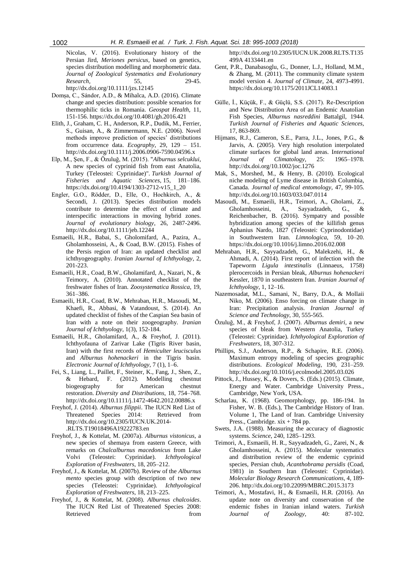Nicolas, V. (2016). Evolutionary history of the Persian Jird, *Meriones persicus*, based on genetics, species distribution modelling and morphometric data. *Journal of Zoological Systematics and Evolutionary Research,* 55, 29-45. http://dx.doi.org/10.1111/jzs.12145

Domșa, C., Sándor, A.D., & Mihalca, A.D. (2016). Climate change and species distribution: possible scenarios for thermophilic ticks in Romania. *Geospat Health,* 11, 151-156. https://dx.doi.org/10.4081/gh.2016.421

- Elith, J., Graham, C. H., Anderson, R.P., Dudik, M., Ferrier, S., Guisan, A., & Zimmermann, N.E. (2006). Novel methods improve prediction of species' distributions from occurrence data. *Ecography*, 29, 129 – 151. http://dx.doi.org/10.1111/j.2006.0906-7590.04596.x
- Elp, M., Şen, F., & Özuluğ, M. (2015). "*Alburnus selcuklui*, A new species of cyprinid fish from east Anatolia, Turkey (Teleostei: Cyprinidae)". *Turkish Journal of Fisheries and Aquatic Sciences*, 15, 181–186. https://dx.doi.org/10.4194/1303-2712-v15\_1\_20
- Engler, G.O., Rödder, D., Elle, O., Hochkirch, A., & Secondi, J. (2013). Species distribution models contribute to determine the effect of climate and interspecific interactions in moving hybrid zones. *Journal of evolutionary biology*, 26, 2487-2496. http://dx.doi.org/10.1111/jeb.12244
- Esmaeili, H.R., Babai, S., Gholomifard, A., Pazira, A., Gholamhosseini, A., & Coad, B.W. (2015). Fishes of the Persis region of Iran: an updated checklist and ichthyogeography. *Iranian Journal of Ichthyology*, 2, 201-223.
- Esmaeili, H.R., Coad, B.W., Gholamifard, A., Nazari, N., & Teimory, A. (2010). Annotated checklist of the freshwater fishes of Iran. *Zoosystematica Rossica*, 19, 361–386.
- Esmaeili, H.R., Coad, B.W., Mehraban, H.R., Masoudi, M., Khaefi, R., Abbasi, & Vatandoust, S. (2014). An updated checklist of fishes of the Caspian Sea basin of Iran with a note on their zoogeography. *Iranian Journal of Ichthyology*, 1(3), 152-184.
- Esmaeili, H.R., Gholamifard, A., & Freyhof, J. (2011). Ichthyofauna of Zarivar Lake (Tigris River basin, Iran) with the first records of *Hemiculter leucisculus* and *Alburnus hohenackeri* in the Tigris basin. *Electronic Journal of Ichthyology*, 7 (1), 1–6.
- Fei, S., Liang, L., Paillet, F., Steiner, K., Fang, J., Shen, Z., & Hebard, F. (2012). Modelling chestnut biogeography for American chestnut restoration. *Diversity and Distributions*, 18, 754–768. http://dx.doi.org/10.1111/j.1472-4642.2012.00886.x
- Freyhof, J. (2014). *Alburnus filippii*. The IUCN Red List of Threatened Species 2014: Retrieved from http://dx.doi.org/10.2305/IUCN.UK.2014- .RLTS.T19018496A19222783.en
- Freyhof, J., & Kottelat, M. (2007a). *Alburnus vistonicus*, a new species of shemaya from eastern Greece, with remarks on *Chalcalburnus macedonicus* from Lake Volvi (Teleostei: Cyprinidae). *Ichthyological Exploration of Freshwaters*, 18, 205–212.
- Freyhof, J., & Kottelat, M. (2007b). Review of the *Alburnus mento* species group with description of two new species (Teleostei: Cyprinidae). *Ichthyological Exploration of Freshwaters*, 18, 213–225.
- Freyhof, J., & Kottelat, M. (2008). *Alburnus chalcoides*. The IUCN Red List of Threatened Species 2008: Retrieved from the state of  $\sim$

http://dx.doi.org/10.2305/IUCN.UK.2008.RLTS.T135 499A 4133441.en

- Gent, P.R., Danabasoglu, G., Donner, L.J., Holland, M.M., & Zhang, M. (2011). The community climate system model version 4. *Journal of Climate*, 24, 4973-4991. https://dx.doi.org/10.1175/2011JCL14083.1
- Gülle, İ., Küçük, F., & Güçlü, S.S. (2017). Re-Description and New Distribution Area of an Endemic Anatolian Fish Species, *Alburnus nasreddini* Battalgil, 1944. *Turkish Journal of Fisheries and Aquatic Sciences,*  17, 863-869.
- Hijmans, R.J., Cameron, S.E., Parra, J.L., Jones, P.G., & Jarvis, A. (2005). Very high resolution interpolated climate surfaces for global land areas. I*nternational Journal of Climatology*, 25: 1965–1978. http://dx.doi.org/10.1002/joc.1276
- Mak, S., Morshed, M., & Henry, B. (2010). Ecological niche modeling of Lyme disease in British Columbia, Canada. *Journal of medical entomology*, 47, 99-105. http://dx.doi.org/10.1603/033.047.0114
- Masoudi, M., Esmaeili, H.R., Teimori, A., Gholami, Z., Gholamhosseini, A., Sayyadzadeh, G., & Reichenbacher, B. (2016). Sympatry and possible hybridization among species of the killifish genus Aphanius Nardo, 1827 (Teleostei: Cyprinodontidae) in Southwestern Iran. *Limnologica*, 59, 10–20. https://dx.doi.org/10.1016/j.limno.2016.02.008
- Mehraban, H.R., Sayyadzadeh, G., Malekzehi, H., & Ahmadi, A. (2014). First report of infection with the Tapeworm *Ligula intestinalis* (Linnaeus, 1758) plerocercoids in Persian bleak, *Alburnus hohenackeri* Kessler, 1870 in southeastern Iran. *Iranian Journal of Ichthyology*, 1, 12–16.
- Nazemosadat, M.L., Samani, N., Barry, D.A., & Mollaii Niko, M. (2006). Enso forcing on climate change in Iran: Precipitation analysis. *Iranian Journal of Science and Technology*, 30, 555-565.
- Özuluğ, M., & Freyhof, J. (2007). *Alburnus demiri*, a new species of bleak from Western Anatolia, Turkey (Teleostei: Cyprinidae). *Ichthyological Exploration of Freshwaters*, 18, 307-312.
- Phillips, S.J., Anderson, R.P., & Schapire, R.E. (2006). Maximum entropy modeling of species geographic distributions. *Ecological Modeling*, 190, 231–259. http://dx.doi.org/10.1016/j.ecolmodel.2005.03.026
- Pittock, J., Hussey, K., & Dovers, S. (Eds.) (2015). Climate, Energy and Water. Cambridge University Press., Cambridge, New York, USA.
- Scharlau, K. (1968). Geomorphology, pp. 186-194. In Fisher, W. B. (Eds.), The Cambridge History of Iran. Volume 1, The Land of Iran. Cambridge University Press., Cambridge. xix + 784 pp.
- Swets, J.A. (1988). Measuring the accuracy of diagnostic systems. *Science*, 240, 1285–1293.
- Teimori, A., Esmaeili, H. R., Sayyadzadeh, G., Zarei, N., & Gholamhosseini, A. (2015). Molecular systematics and distribution review of the endemic cyprinid species, Persian chub, *Acanthobrama persidis* (Coad, 1981) in Southern Iran (Teleostei: Cyprinidae). *Molecular Biology Research Communications*, 4, 189- 206. http://dx.doi.org/10.22099/MBRC.2015.3173
- Teimori, A., Mostafavi, H., & Esmaeili, H.R. (2016). An update note on diversity and conservation of the endemic fishes in Iranian inland waters. *Turkish Journal of Zoology*, 40: 87-102.